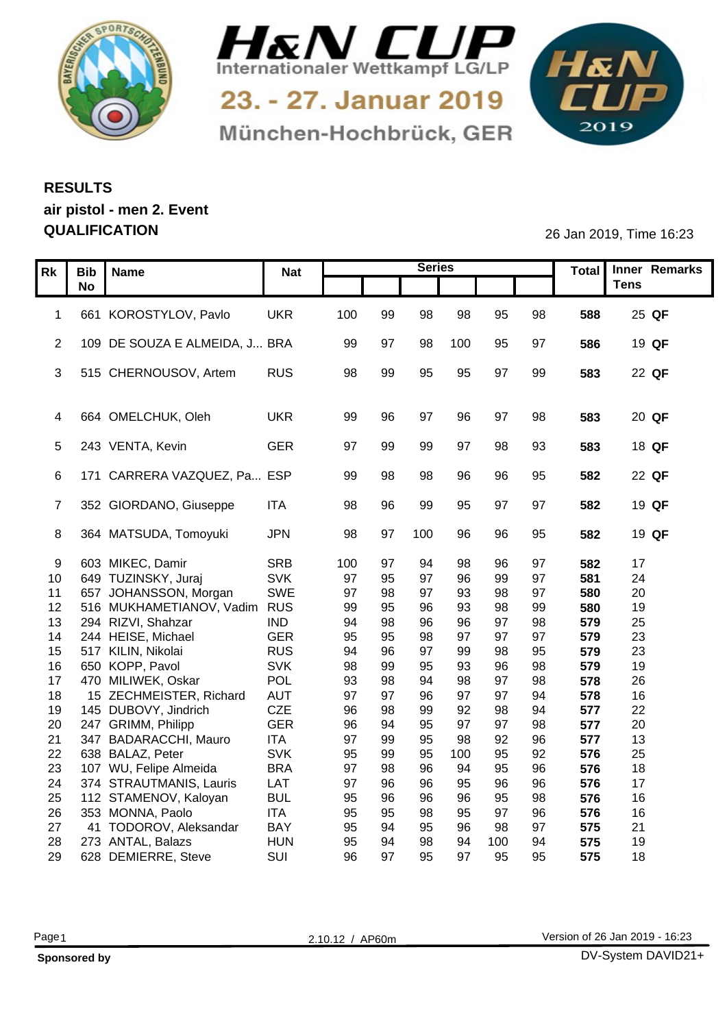



München-Hochbrück, GER

1&N 

## **RESULTS air pistol - men 2. Event QUALIFICATION** 26 Jan 2019, Time 16:23

|    |           | Rk   Bib   Name                 |            |     |     | <b>Series</b> |     |     |    |     | Total Inner Remarks |
|----|-----------|---------------------------------|------------|-----|-----|---------------|-----|-----|----|-----|---------------------|
|    |           |                                 | <b>Nat</b> |     |     |               |     |     |    |     | <b>Tens</b>         |
|    | <b>No</b> |                                 |            |     |     |               |     |     |    |     |                     |
|    |           | 661 KOROSTYLOV, Pavlo           | <b>UKR</b> | 100 | 99  | 98            | 98  | 95  | 98 | 588 | 25 QF               |
|    |           |                                 |            |     |     |               |     |     |    |     |                     |
|    |           | 2 109 DE SOUZA E ALMEIDA, J BRA |            | 99  | -97 | 98            | 100 | 95  | 97 | 586 | 19 QF               |
|    |           |                                 |            |     |     |               |     |     |    |     |                     |
|    |           | 3 515 CHERNOUSOV, Artem         | <b>RUS</b> | 98  | 99  | 95            | 95  | 97  | 99 | 583 | 22 QF               |
|    |           |                                 |            |     |     |               |     |     |    |     |                     |
|    |           |                                 |            |     |     |               |     |     |    |     |                     |
|    |           | 4 664 OMELCHUK, Oleh            | <b>UKR</b> | 99  |     | -97           | 96  | 97  | 98 | 583 | 20 QF               |
|    |           |                                 |            |     |     |               |     |     |    |     |                     |
|    |           | 5 243 VENTA, Kevin              | <b>GER</b> | 97  | 99  | 99            | 97  | 98  | 93 | 583 | 18 QF               |
|    |           |                                 |            |     |     |               |     |     |    |     |                     |
|    |           | 6 171 CARRERA VAZQUEZ, Pa ESP   |            | 99  | 98  | 98            | 96  | 96  | 95 | 582 | 22 QF               |
|    |           |                                 |            |     |     |               |     |     |    |     |                     |
|    |           | 7 352 GIORDANO, Giuseppe        | <b>ITA</b> | 98  | 96  | 99            | 95  | 97  | 97 | 582 | 19 QF               |
|    |           |                                 |            |     |     |               |     |     |    |     |                     |
|    |           | 8 364 MATSUDA, Tomoyuki         | <b>JPN</b> | 98  | 97  | 100           | 96  | 96  | 95 | 582 | 19 QF               |
|    |           |                                 |            |     |     |               |     |     |    |     |                     |
| 9  |           | 603 MIKEC, Damir                | SRB        | 100 | 97  | -94           | 98  | 96  | 97 | 582 | 17                  |
| 10 |           | 649 TUZINSKY, Juraj             | SVK        | 97  | 95  | 97            | 96  | 99  | 97 | 581 | 24                  |
| 11 |           | 657 JOHANSSON, Morgan           | SWE        | 97  | 98  | 97            | 93  | 98  | 97 | 580 | 20                  |
|    |           | 12 516 MUKHAMETIANOV, Vadim RUS |            | 99  | 95  | 96            | 93  | 98  | 99 | 580 | 19                  |
| 13 |           | 294 RIZVI, Shahzar              | <b>IND</b> | 94  | 98  | 96            | 96  | 97  | 98 | 579 | 25                  |
| 14 |           | 244 HEISE, Michael              | <b>GER</b> | 95  | 95  | 98            | 97  | 97  | 97 | 579 | 23                  |
|    |           | 15 517 KILIN, Nikolai           | <b>RUS</b> | 94  | 96  | 97            | 99  | 98  | 95 | 579 | 23                  |
| 16 |           | 650 KOPP, Pavol                 | SVK        | 98  | 99  | 95            | 93  | 96  | 98 | 579 | 19                  |
| 17 |           | 470 MILIWEK, Oskar              | POL        | 93  | 98  | 94            | 98  | 97  | 98 | 578 | 26                  |
| 18 |           | 15 ZECHMEISTER, Richard         | AUT        | 97  | 97  | 96            | 97  | 97  | 94 | 578 | 16                  |
| 19 |           | 145 DUBOVY, Jindrich            | CZE        | 96  | 98  | 99            | 92  | 98  | 94 | 577 | 22                  |
| 20 |           | 247 GRIMM, Philipp              | <b>GER</b> | 96  | 94  | 95            | 97  | 97  | 98 | 577 | 20                  |
| 21 |           | 347 BADARACCHI, Mauro           | <b>ITA</b> | 97  | 99  | 95            | 98  | 92  | 96 | 577 | 13                  |
| 22 |           | 638 BALAZ, Peter                | SVK        | 95  | 99  | 95            | 100 | 95  | 92 | 576 | 25                  |
| 23 |           | 107 WU, Felipe Almeida          | <b>BRA</b> | 97  | 98  | 96            | 94  | 95  | 96 | 576 | 18                  |
| 24 |           | 374 STRAUTMANIS, Lauris         | LAT        | 97  | 96  | 96            | 95  | 96  | 96 | 576 | 17                  |
| 25 |           | 112 STAMENOV, Kaloyan           | <b>BUL</b> | 95  | 96  | 96            | 96  | 95  | 98 | 576 | 16                  |
| 26 |           | 353 MONNA, Paolo                | <b>ITA</b> | 95  | 95  | 98            | 95  | 97  | 96 | 576 | 16                  |
| 27 |           | 41 TODOROV, Aleksandar          | <b>BAY</b> | 95  | 94  | 95            | 96  | 98  | 97 | 575 | 21                  |
| 28 |           | 273 ANTAL, Balazs               | <b>HUN</b> | 95  | 94  | 98            | 94  | 100 | 94 | 575 | 19                  |
|    |           | 29 628 DEMIERRE, Steve          | SUI        | 96  | 97  | 95            | 97  | 95  | 95 | 575 | 18                  |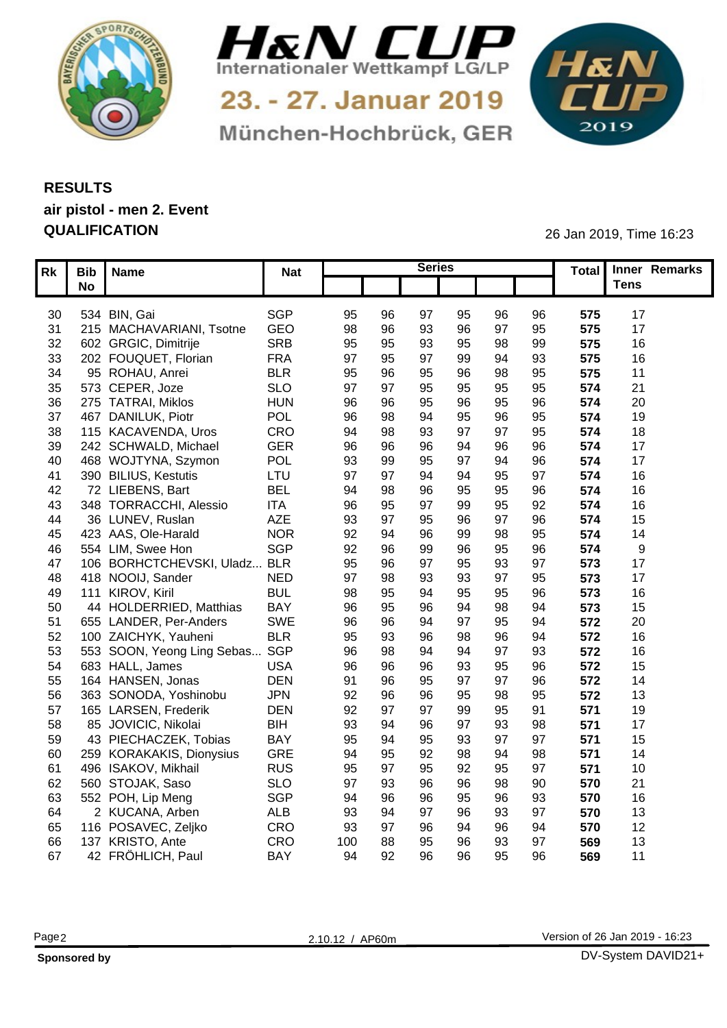



München-Hochbrück, GER

1&N 

## **RESULTS air pistol - men 2. Event QUALIFICATION** 26 Jan 2019, Time 16:23

| Rk Bib Name                                 | <b>Nat</b> |                      |    | <b>Series</b>  |                |          |            | Total Inner Remarks |  |
|---------------------------------------------|------------|----------------------|----|----------------|----------------|----------|------------|---------------------|--|
| <b>No</b>                                   |            |                      |    |                |                |          |            | <b>Tens</b>         |  |
|                                             |            |                      |    |                |                |          |            |                     |  |
| 30 534 BIN, Gai<br>215 MACHAVARIANI, Tsotne | SGP<br>GEO | 95<br>96<br>98       |    | 95<br>97       | 96<br>07       | 96<br>95 | 575        | 17<br>17            |  |
| 31<br>602 GRGIC, Dimitrije                  | <b>SRB</b> | 96                   |    | 96<br>93<br>93 | 98             | 99       | 575<br>575 | 16                  |  |
| 32<br>202 FOUQUET, Florian                  | <b>FRA</b> | 95<br>95<br>97<br>95 |    | 95<br>99<br>97 | 94             | 93       | 575        | 16                  |  |
| 33<br>95 ROHAU, Anrei<br>34                 | <b>BLR</b> | 95<br>96             |    | 95<br>96       |                | 95       | 575        | $1^{\circ}$         |  |
| 35 573 CEPER, Joze                          | <b>SLO</b> | 97                   |    | 95<br>95       | 95             | 95       | 574        | 21                  |  |
| 275 TATRAI, Miklos<br>36                    | <b>HUN</b> | 96<br>96             |    | 96<br>95       |                | 96       | 574        | 20                  |  |
| 467 DANILUK, Piotr<br>37                    | POL        | 96<br>98             |    | 95             |                | 95       | 574        | 19                  |  |
| 115 KACAVENDA, Uros<br>38                   | CRO        | 94<br>98             |    | 97             | Q <sub>7</sub> | 95       | 574        | 18                  |  |
| 39 242 SCHWALD, Michael                     | <b>GER</b> | 96                   |    |                |                | 96       | 574        | 17                  |  |
| 468 WOJTYNA, Szymon<br>40                   | POL        | 93<br>99             |    | 95<br>97       |                | 96       | 574        | 17                  |  |
| 390 BILIUS, Kestutis                        | LTU        | 97                   |    |                |                | 97       | 574        | 16                  |  |
| 41<br>72 LIEBENS, Bart<br>42                | <b>BEL</b> | 94                   |    | 95             |                | 96       | 574        | 16                  |  |
| 348 TORRACCHI, Alessio<br>43                | <b>ITA</b> | 96                   |    | 99             | 95             | 92       | 574        | 16                  |  |
| 36 LUNEV, Ruslan<br>44                      | AZE        | 93<br>Ω.             |    | 95<br>96       | Q <sub>7</sub> | 96       | 574        | 15                  |  |
| 45 423 AAS, Ole-Harald                      | <b>NOR</b> | 92                   |    | 99<br>96       | 98             | 95       | 574        | 14                  |  |
| 46<br>554 LIM, Swee Hon                     | <b>SGP</b> | 92                   | 96 | 96<br>99       |                | 96       | 574        | - 9                 |  |
| 106 BORHCTCHEVSKI, Uladz BLR<br>47          |            | 95                   | 96 | 95<br>97       | 93             | 97       | 573        | 17                  |  |
| 418 NOOIJ, Sander<br>48                     | <b>NED</b> | 97<br>98             |    | 93             | Q <sub>7</sub> | 95       | 573        | 17                  |  |
| 111 KIROV, Kiril<br>49                      | <b>BUL</b> | 98                   |    | 95             |                | 96       | 573        | 16                  |  |
| 44 HOLDERRIED, Matthias<br>50               | <b>BAY</b> | 96<br>95             |    | ٩Z             |                | 94       | 573        | 15                  |  |
| 655 LANDER, Per-Anders<br>51                | <b>SWE</b> | 96                   | 96 |                | 95             | 94       | 572        | 20                  |  |
| 100 ZAICHYK, Yauheni<br>52                  | <b>BLR</b> | 95                   |    | 98             |                | 94       | 572        | 16                  |  |
| 553 SOON, Yeong Ling Sebas SGP<br>53        |            | 96<br>98             |    | 94             | Q <sub>7</sub> | 93       | 572        | 16                  |  |
| 683 HALL, James<br>54                       | <b>USA</b> | 96                   | 96 | 93             |                | 96       | 572        | 15                  |  |
| 55 164 HANSEN, Jonas                        | <b>DEN</b> | 91                   | 96 | 97<br>95       | Q <sub>7</sub> | 96       | 572        | 14                  |  |
| 56<br>363 SONODA, Yoshinobu                 | <b>JPN</b> | 92                   | 96 | 95<br>96       |                | 95       | 572        | 13                  |  |
| 165 LARSEN, Frederik<br>57                  | <b>DEN</b> | 92                   |    | 99             |                | 91       | 571        | 19                  |  |
| 85 JOVICIC, Nikolai<br>58                   | <b>BIH</b> | 93                   |    | 97             | 93             | 98       | 571        | 17                  |  |
| 43 PIECHACZEK, Tobias<br>59                 | BAY        | 95                   |    |                | Q <sub>7</sub> | 97       | 571        | 15                  |  |
| 259 KORAKAKIS, Dionysius<br>60              | GRE        | 94<br>95             |    | 98             |                | 98       | 571        | 14                  |  |
| 496 ISAKOV, Mikhail<br>61                   | <b>RUS</b> | 95                   |    | 92<br>95       | 95             | 97       | 571        | 10                  |  |
| 560 STOJAK, Saso<br>62                      | <b>SLO</b> | 97                   |    | 96             |                | 90       | 570        | 21                  |  |
| 552 POH, Lip Meng<br>63                     | SGP        | 94                   |    | 96<br>95       | 96             | 93       | 570        | 16                  |  |
| 2 KUCANA, Arben<br>64                       | ALB        | 93                   |    |                | 93             | 97       | 570        | 13                  |  |
| 65 116 POSAVEC, Zeljko                      | CRO        | 93                   |    | ۵4             | 96             | 94       | 570        | 12                  |  |
| 66<br>137 KRISTO, Ante                      | CRO        | 100                  | 88 | 96<br>95       |                | 97       | 569        | 13                  |  |
| 42 FRÖHLICH, Paul<br>67                     | <b>BAY</b> | 94<br>92             |    | 96<br>96       | 95             | 96       | 569        | 11                  |  |